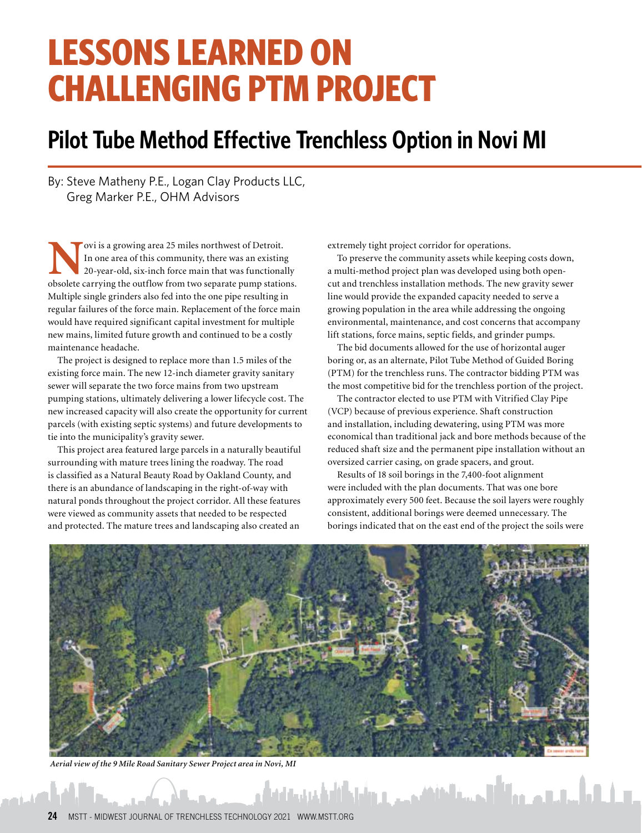# **LESSONS LEARNED ON CHALLENGING PTM PROJECT**

## **Pilot Tube Method Effective Trenchless Option in Novi MI**

By: Steve Matheny P.E., Logan Clay Products LLC, Greg Marker P.E., OHM Advisors

**N**ovi is a growing area 25 miles northwest of Detroit. In one area of this community, there was an existing 20-year-old, six-inch force main that was functionally obsolete carrying the outflow from two separate pump stations. Multiple single grinders also fed into the one pipe resulting in regular failures of the force main. Replacement of the force main would have required significant capital investment for multiple new mains, limited future growth and continued to be a costly maintenance headache.

The project is designed to replace more than 1.5 miles of the existing force main. The new 12-inch diameter gravity sanitary sewer will separate the two force mains from two upstream pumping stations, ultimately delivering a lower lifecycle cost. The new increased capacity will also create the opportunity for current parcels (with existing septic systems) and future developments to tie into the municipality's gravity sewer.

This project area featured large parcels in a naturally beautiful surrounding with mature trees lining the roadway. The road is classified as a Natural Beauty Road by Oakland County, and there is an abundance of landscaping in the right-of-way with natural ponds throughout the project corridor. All these features were viewed as community assets that needed to be respected and protected. The mature trees and landscaping also created an

extremely tight project corridor for operations.

To preserve the community assets while keeping costs down, a multi-method project plan was developed using both opencut and trenchless installation methods. The new gravity sewer line would provide the expanded capacity needed to serve a growing population in the area while addressing the ongoing environmental, maintenance, and cost concerns that accompany lift stations, force mains, septic fields, and grinder pumps.

The bid documents allowed for the use of horizontal auger boring or, as an alternate, Pilot Tube Method of Guided Boring (PTM) for the trenchless runs. The contractor bidding PTM was the most competitive bid for the trenchless portion of the project.

The contractor elected to use PTM with Vitrified Clay Pipe (VCP) because of previous experience. Shaft construction and installation, including dewatering, using PTM was more economical than traditional jack and bore methods because of the reduced shaft size and the permanent pipe installation without an oversized carrier casing, on grade spacers, and grout.

Results of 18 soil borings in the 7,400-foot alignment were included with the plan documents. That was one bore approximately every 500 feet. Because the soil layers were roughly consistent, additional borings were deemed unnecessary. The borings indicated that on the east end of the project the soils were

والكالمشابه المالي والمستانية فيمرح والرامة والمتحافظ



*Aerial view of the 9 Mile Road Sanitary Sewer Project area in Novi, MI*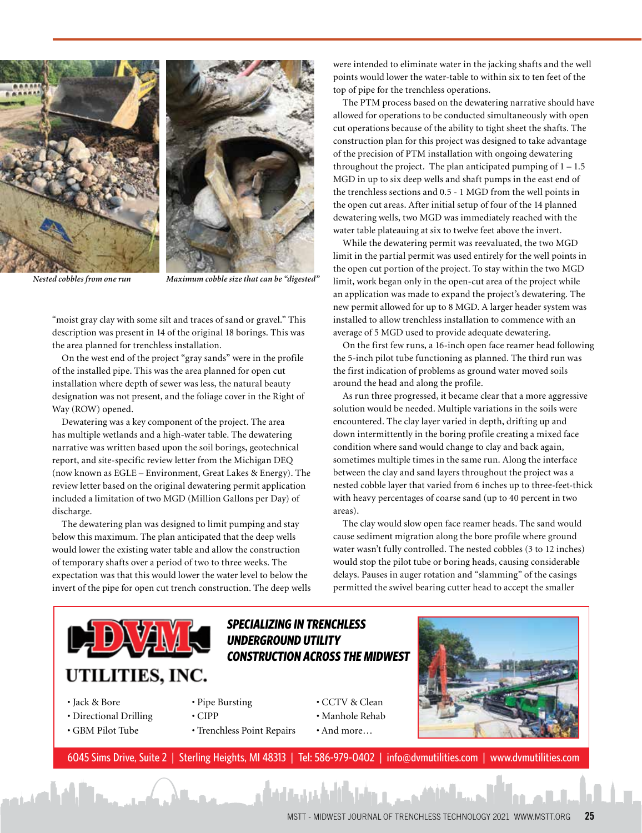



*Nested cobbles from one run Maximum cobble size that can be "digested"*

"moist gray clay with some silt and traces of sand or gravel." This description was present in 14 of the original 18 borings. This was the area planned for trenchless installation.

On the west end of the project "gray sands" were in the profile of the installed pipe. This was the area planned for open cut installation where depth of sewer was less, the natural beauty designation was not present, and the foliage cover in the Right of Way (ROW) opened.

Dewatering was a key component of the project. The area has multiple wetlands and a high-water table. The dewatering narrative was written based upon the soil borings, geotechnical report, and site-specific review letter from the Michigan DEQ (now known as EGLE – Environment, Great Lakes & Energy). The review letter based on the original dewatering permit application included a limitation of two MGD (Million Gallons per Day) of discharge.

The dewatering plan was designed to limit pumping and stay below this maximum. The plan anticipated that the deep wells would lower the existing water table and allow the construction of temporary shafts over a period of two to three weeks. The expectation was that this would lower the water level to below the invert of the pipe for open cut trench construction. The deep wells were intended to eliminate water in the jacking shafts and the well points would lower the water-table to within six to ten feet of the top of pipe for the trenchless operations.

The PTM process based on the dewatering narrative should have allowed for operations to be conducted simultaneously with open cut operations because of the ability to tight sheet the shafts. The construction plan for this project was designed to take advantage of the precision of PTM installation with ongoing dewatering throughout the project. The plan anticipated pumping of  $1 - 1.5$ MGD in up to six deep wells and shaft pumps in the east end of the trenchless sections and 0.5 - 1 MGD from the well points in the open cut areas. After initial setup of four of the 14 planned dewatering wells, two MGD was immediately reached with the water table plateauing at six to twelve feet above the invert.

While the dewatering permit was reevaluated, the two MGD limit in the partial permit was used entirely for the well points in the open cut portion of the project. To stay within the two MGD limit, work began only in the open-cut area of the project while an application was made to expand the project's dewatering. The new permit allowed for up to 8 MGD. A larger header system was installed to allow trenchless installation to commence with an average of 5 MGD used to provide adequate dewatering.

On the first few runs, a 16-inch open face reamer head following the 5-inch pilot tube functioning as planned. The third run was the first indication of problems as ground water moved soils around the head and along the profile.

As run three progressed, it became clear that a more aggressive solution would be needed. Multiple variations in the soils were encountered. The clay layer varied in depth, drifting up and down intermittently in the boring profile creating a mixed face condition where sand would change to clay and back again, sometimes multiple times in the same run. Along the interface between the clay and sand layers throughout the project was a nested cobble layer that varied from 6 inches up to three-feet-thick with heavy percentages of coarse sand (up to 40 percent in two areas).

The clay would slow open face reamer heads. The sand would cause sediment migration along the bore profile where ground water wasn't fully controlled. The nested cobbles (3 to 12 inches) would stop the pilot tube or boring heads, causing considerable delays. Pauses in auger rotation and "slamming" of the casings permitted the swivel bearing cutter head to accept the smaller



#### • Jack & Bore

أفناهم

- Directional Drilling
- GBM Pilot Tube
- 

**SPECIALIZING IN TRENCHLESS UNDERGROUND UTILITY** 

- Pipe Bursting
	- CIPP • Trenchless Point Repairs
- CCTV & Clean • Manhole Rehab • And more…



[6045 Sims Drive, Suite 2 | Sterling Heights, MI 48313 | Tel: 586-979-0402 | info@dvmutilities.com | www.dvmutilities.com](http://www.dvmutilities.com)

وإرضاحه فالمشتب والمشارع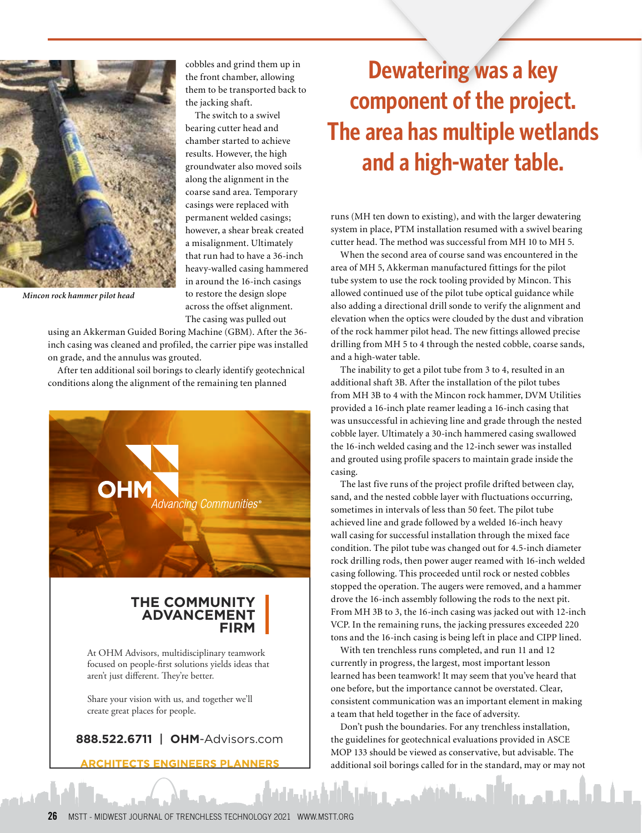

*Mincon rock hammer pilot head*

cobbles and grind them up in the front chamber, allowing them to be transported back to the jacking shaft.

The switch to a swivel bearing cutter head and chamber started to achieve results. However, the high groundwater also moved soils along the alignment in the coarse sand area. Temporary casings were replaced with permanent welded casings; however, a shear break created a misalignment. Ultimately that run had to have a 36-inch heavy-walled casing hammered in around the 16-inch casings to restore the design slope across the offset alignment. The casing was pulled out

using an Akkerman Guided Boring Machine (GBM). After the 36 inch casing was cleaned and profiled, the carrier pipe was installed on grade, and the annulus was grouted.

After ten additional soil borings to clearly identify geotechnical conditions along the alignment of the remaining ten planned



### **[THE COMMUNITY](www.ohm-advisors.com)  ADVANCEMENT FIRM**

At OHM Advisors, multidisciplinary teamwork focused on people-first solutions yields ideas that aren't just different. They're better.

Share your vision with us, and together we'll create great places for people.

### **888.522.6711** | **OHM**-Advisors.com

**ARCHITECTS ENGINEERS PLANNERS** 

# **Dewatering was a key component of the project. The area has multiple wetlands and a high-water table.**

runs (MH ten down to existing), and with the larger dewatering system in place, PTM installation resumed with a swivel bearing cutter head. The method was successful from MH 10 to MH 5.

When the second area of course sand was encountered in the area of MH 5, Akkerman manufactured fittings for the pilot tube system to use the rock tooling provided by Mincon. This allowed continued use of the pilot tube optical guidance while also adding a directional drill sonde to verify the alignment and elevation when the optics were clouded by the dust and vibration of the rock hammer pilot head. The new fittings allowed precise drilling from MH 5 to 4 through the nested cobble, coarse sands, and a high-water table.

The inability to get a pilot tube from 3 to 4, resulted in an additional shaft 3B. After the installation of the pilot tubes from MH 3B to 4 with the Mincon rock hammer, DVM Utilities provided a 16-inch plate reamer leading a 16-inch casing that was unsuccessful in achieving line and grade through the nested cobble layer. Ultimately a 30-inch hammered casing swallowed the 16-inch welded casing and the 12-inch sewer was installed and grouted using profile spacers to maintain grade inside the casing.

The last five runs of the project profile drifted between clay, sand, and the nested cobble layer with fluctuations occurring, sometimes in intervals of less than 50 feet. The pilot tube achieved line and grade followed by a welded 16-inch heavy wall casing for successful installation through the mixed face condition. The pilot tube was changed out for 4.5-inch diameter rock drilling rods, then power auger reamed with 16-inch welded casing following. This proceeded until rock or nested cobbles stopped the operation. The augers were removed, and a hammer drove the 16-inch assembly following the rods to the next pit. From MH 3B to 3, the 16-inch casing was jacked out with 12-inch VCP. In the remaining runs, the jacking pressures exceeded 220 tons and the 16-inch casing is being left in place and CIPP lined.

With ten trenchless runs completed, and run 11 and 12 currently in progress, the largest, most important lesson learned has been teamwork! It may seem that you've heard that one before, but the importance cannot be overstated. Clear, consistent communication was an important element in making a team that held together in the face of adversity.

Don't push the boundaries. For any trenchless installation, the guidelines for geotechnical evaluations provided in ASCE MOP 133 should be viewed as conservative, but advisable. The additional soil borings called for in the standard, may or may not

سالى المسار الأراد والتقافة وحميل والأرادة والمتحافة